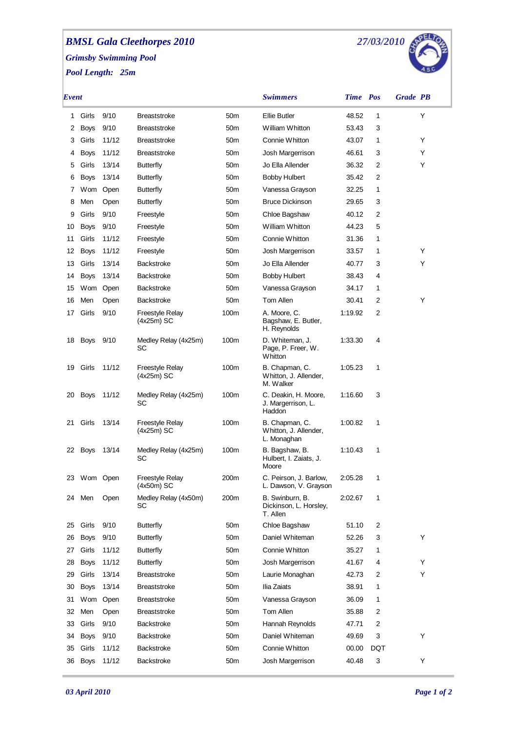## *BMSL Gala Cleethorpes 2010 Grimsby Swimming Pool Pool Length: 25m*



| Event |             |          |                                      |                 | <b>Swimmers</b>                                        | Time Pos |     | <b>Grade PB</b> |
|-------|-------------|----------|--------------------------------------|-----------------|--------------------------------------------------------|----------|-----|-----------------|
| 1     | Girls       | 9/10     | <b>Breaststroke</b>                  | 50 <sub>m</sub> | <b>Ellie Butler</b>                                    | 48.52    | 1   | Υ               |
| 2     | <b>Boys</b> | 9/10     | <b>Breaststroke</b>                  | 50 <sub>m</sub> | William Whitton                                        | 53.43    | 3   |                 |
| З     | Girls       | 11/12    | <b>Breaststroke</b>                  | 50 <sub>m</sub> | Connie Whitton                                         | 43.07    | 1   | Y               |
| 4     | <b>Boys</b> | 11/12    | <b>Breaststroke</b>                  | 50 <sub>m</sub> | Josh Margerrison                                       | 46.61    | 3   | Y               |
| 5     | Girls       | 13/14    | <b>Butterfly</b>                     | 50 <sub>m</sub> | Jo Ella Allender                                       | 36.32    | 2   | Y               |
| 6     | Boys        | 13/14    | <b>Butterfly</b>                     | 50 <sub>m</sub> | <b>Bobby Hulbert</b>                                   | 35.42    | 2   |                 |
| 7     | Wom         | Open     | <b>Butterfly</b>                     | 50 <sub>m</sub> | Vanessa Grayson                                        | 32.25    | 1   |                 |
| 8     | Men         | Open     | <b>Butterfly</b>                     | 50 <sub>m</sub> | <b>Bruce Dickinson</b>                                 | 29.65    | 3   |                 |
| 9     | Girls       | 9/10     | Freestyle                            | 50 <sub>m</sub> | Chloe Bagshaw                                          | 40.12    | 2   |                 |
| 10    | Boys        | 9/10     | Freestyle                            | 50 <sub>m</sub> | William Whitton                                        | 44.23    | 5   |                 |
| 11    | Girls       | 11/12    | Freestyle                            | 50 <sub>m</sub> | Connie Whitton                                         | 31.36    | 1   |                 |
| 12    | Boys        | 11/12    | Freestyle                            | 50 <sub>m</sub> | Josh Margerrison                                       | 33.57    | 1   | Y               |
| 13    | Girls       | 13/14    | <b>Backstroke</b>                    | 50 <sub>m</sub> | Jo Ella Allender                                       | 40.77    | 3   | Y               |
| 14    | Boys        | 13/14    | <b>Backstroke</b>                    | 50 <sub>m</sub> | <b>Bobby Hulbert</b>                                   | 38.43    | 4   |                 |
| 15    |             | Wom Open | <b>Backstroke</b>                    | 50 <sub>m</sub> | Vanessa Grayson                                        | 34.17    | 1   |                 |
| 16    | Men         | Open     | <b>Backstroke</b>                    | 50 <sub>m</sub> | Tom Allen                                              | 30.41    | 2   | Y               |
| 17    | Girls       | 9/10     | Freestyle Relay<br>$(4x25m)$ SC      | 100m            | A. Moore, C.<br>Bagshaw, E. Butler,<br>H. Reynolds     | 1:19.92  | 2   |                 |
| 18    | <b>Boys</b> | 9/10     | Medley Relay (4x25m)<br>SC           | 100m            | D. Whiteman, J.<br>Page, P. Freer, W.<br>Whitton       | 1:33.30  | 4   |                 |
| 19    | Girls       | 11/12    | <b>Freestyle Relay</b><br>(4x25m) SC | 100m            | B. Chapman, C.<br>Whitton, J. Allender,<br>M. Walker   | 1:05.23  | 1   |                 |
| 20    | <b>Boys</b> | 11/12    | Medley Relay (4x25m)<br>SC           | 100m            | C. Deakin, H. Moore,<br>J. Margerrison, L.<br>Haddon   | 1:16.60  | 3   |                 |
| 21    | Girls       | 13/14    | Freestyle Relay<br>$(4x25m)$ SC      | 100m            | B. Chapman, C.<br>Whitton, J. Allender,<br>L. Monaghan | 1:00.82  | 1   |                 |
| 22    | Boys        | 13/14    | Medley Relay (4x25m)<br>SC           | 100m            | B. Bagshaw, B.<br>Hulbert, I. Zaiats, J.<br>Moore      | 1:10.43  | 1   |                 |
| 23    | Wom Open    |          | Freestyle Relay<br>(4x50m) SC        | 200m            | C. Peirson, J. Barlow,<br>L. Dawson, V. Grayson        | 2:05.28  | 1   |                 |
|       | 24 Men      | Open     | Medley Relay (4x50m)<br>SC           | 200m            | B. Swinburn, B.<br>Dickinson, L. Horsley,<br>T. Allen  | 2:02.67  | 1   |                 |
| 25    | Girls       | 9/10     | <b>Butterfly</b>                     | 50m             | Chloe Bagshaw                                          | 51.10    | 2   |                 |
| 26    | Boys        | 9/10     | <b>Butterfly</b>                     | 50 <sub>m</sub> | Daniel Whiteman                                        | 52.26    | 3   | Y               |
| 27    | Girls       | 11/12    | <b>Butterfly</b>                     | 50 <sub>m</sub> | Connie Whitton                                         | 35.27    | 1   |                 |
| 28    | <b>Boys</b> | 11/12    | <b>Butterfly</b>                     | 50 <sub>m</sub> | Josh Margerrison                                       | 41.67    | 4   | Y               |
| 29    | Girls       | 13/14    | <b>Breaststroke</b>                  | 50 <sub>m</sub> | Laurie Monaghan                                        | 42.73    | 2   | Y               |
| 30    | <b>Boys</b> | 13/14    | <b>Breaststroke</b>                  | 50m             | Ilia Zaiats                                            | 38.91    | 1   |                 |
| 31    | Wom         | Open     | <b>Breaststroke</b>                  | 50m             | Vanessa Grayson                                        | 36.09    | 1   |                 |
| 32    | Men         | Open     | <b>Breaststroke</b>                  | 50 <sub>m</sub> | Tom Allen                                              | 35.88    | 2   |                 |
| 33    | Girls       | 9/10     | Backstroke                           | 50m             | Hannah Reynolds                                        | 47.71    | 2   |                 |
| 34    | <b>Boys</b> | 9/10     | Backstroke                           | 50 <sub>m</sub> | Daniel Whiteman                                        | 49.69    | 3   | Y               |
| 35    | Girls       | 11/12    | Backstroke                           | 50m             | Connie Whitton                                         | 00.00    | DQT |                 |
| 36    | <b>Boys</b> | 11/12    | Backstroke                           | 50m             | Josh Margerrison                                       | 40.48    | 3   | Υ               |